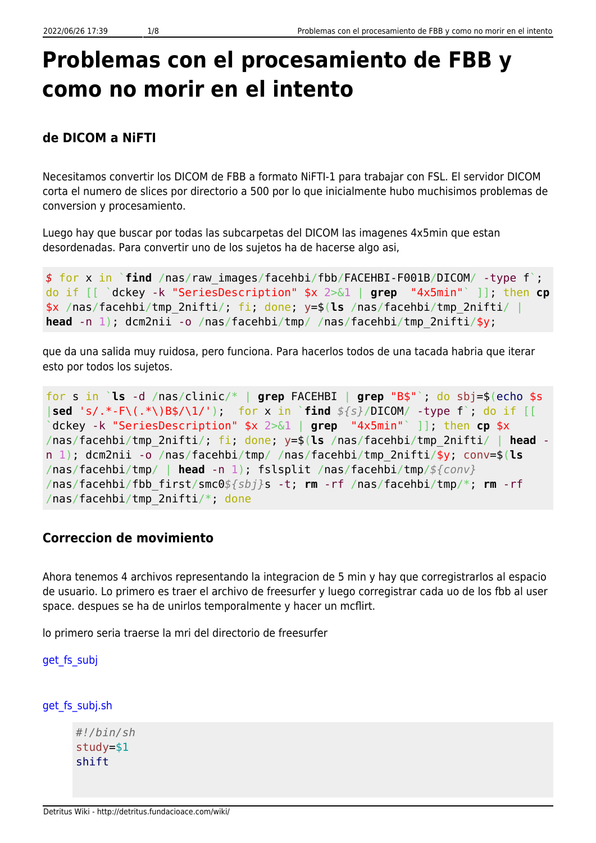# **Problemas con el procesamiento de FBB y como no morir en el intento**

# **de DICOM a NiFTI**

Necesitamos convertir los DICOM de FBB a formato NiFTI-1 para trabajar con FSL. El servidor DICOM corta el numero de slices por directorio a 500 por lo que inicialmente hubo muchisimos problemas de conversion y procesamiento.

Luego hay que buscar por todas las subcarpetas del DICOM las imagenes 4x5min que estan desordenadas. Para convertir uno de los sujetos ha de hacerse algo asi,

```
$ for x in `find /nas/raw_images/facehbi/fbb/FACEHBI-F001B/DICOM/ -type f`;
do if [[ `dckey -k "SeriesDescription" $x 2>&1 | grep "4x5min"` ]]; then cp
$x /nas/facehbi/tmp_2nifti/; fi; done; y=$(ls /nas/facehbi/tmp_2nifti/ |
head -n 1); dcm2nii -o /nas/facehbi/tmp/ /nas/facehbi/tmp_2nifti/$y;
```
que da una salida muy ruidosa, pero funciona. Para hacerlos todos de una tacada habria que iterar esto por todos los sujetos.

for s in `**ls** -d /nas/clinic/\* | **grep** FACEHBI | **grep** "B\$"`; do sbj=\$(echo \$s |**sed** 's/.\*-F\(.\*\)B\$/\1/'); for x in `**find** *\${s}*/DICOM/ -type f`; do if [[ `dckey -k "SeriesDescription" \$x 2>&1 | **grep** "4x5min"` ]]; then **cp** \$x /nas/facehbi/tmp\_2nifti/; fi; done; y=\$(**ls** /nas/facehbi/tmp\_2nifti/ | **head** n 1); dcm2nii -o /nas/facehbi/tmp/ /nas/facehbi/tmp\_2nifti/\$y; conv=\$(**ls** /nas/facehbi/tmp/ | **head** -n 1); fslsplit /nas/facehbi/tmp/*\${conv}* /nas/facehbi/fbb\_first/smc0*\${sbj}*s -t; **rm** -rf /nas/facehbi/tmp/\*; **rm** -rf /nas/facehbi/tmp\_2nifti/\*; done

# **Correccion de movimiento**

Ahora tenemos 4 archivos representando la integracion de 5 min y hay que corregistrarlos al espacio de usuario. Lo primero es traer el archivo de freesurfer y luego corregistrar cada uo de los fbb al user space. despues se ha de unirlos temporalmente y hacer un mcflirt.

lo primero seria traerse la mri del directorio de freesurfer

get fs subj

```
get fs_subj.sh
```

```
#!/bin/sh
study=$1
shift
```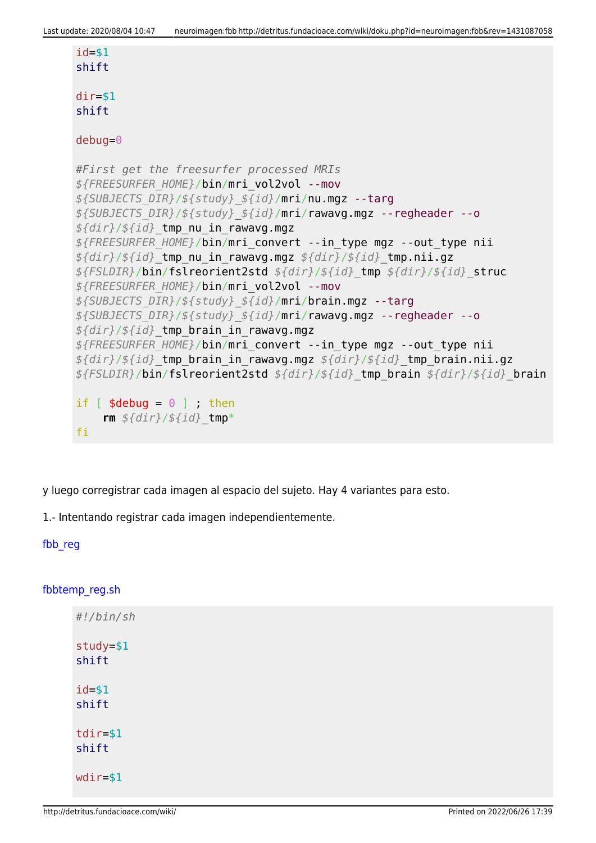```
id = $1shift
dir=$1
shift
debug=0
#First get the freesurfer processed MRIs
${FREESURFER_HOME}/bin/mri_vol2vol --mov
${SUBJECTS_DIR}/${study}_${id}/mri/nu.mgz --targ
${SUBJECTS_DIR}/${study}_${id}/mri/rawavg.mgz --regheader --o
${dir}/${id}_tmp_nu_in_rawavg.mgz
${FREESURFER_HOME}/bin/mri_convert --in_type mgz --out_type nii
${dir}/${id}_tmp_nu_in_rawavg.mgz ${dir}/${id}_tmp.nii.gz
${FSLDIR}/bin/fslreorient2std ${dir}/${id}_tmp ${dir}/${id}_struc
${FREESURFER_HOME}/bin/mri_vol2vol --mov
${SUBJECTS_DIR}/${study}_${id}/mri/brain.mgz --targ
${SUBJECTS_DIR}/${study}_${id}/mri/rawavg.mgz --regheader --o
${dir}/${id}_tmp_brain_in_rawavg.mgz
${FREESURFER_HOME}/bin/mri_convert --in_type mgz --out_type nii
${dir}/${id}_tmp_brain_in_rawavg.mgz ${dir}/${id}_tmp_brain.nii.gz
${FSLDIR}/bin/fslreorient2std ${dir}/${id}_tmp_brain ${dir}/${id}_brain
if [ $debug = 0 ] ; then
     rm ${dir}/${id}_tmp*
fi
```
y luego corregistrar cada imagen al espacio del sujeto. Hay 4 variantes para esto.

1.- Intentando registrar cada imagen independientemente.

#### fbb reg

#### [fbbtemp\\_reg.sh](http://detritus.fundacioace.com/wiki/doku.php?do=export_code&id=neuroimagen:fbb&codeblock=3)

```
#!/bin/sh
study=$1
shift
id=$1
shift
tdir=$1
shift
wdir=$1
```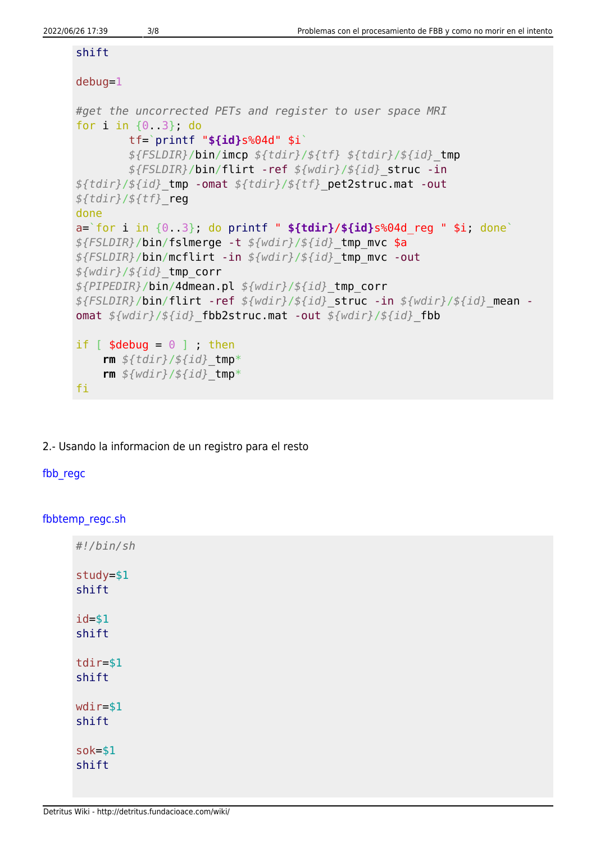#### shift

## debug=1

```
#get the uncorrected PETs and register to user space MRI
for i in {0..3}; do
         tf=`printf "${id}s%04d" $i`
         ${FSLDIR}/bin/imcp ${tdir}/${tf} ${tdir}/${id}_tmp
         ${FSLDIR}/bin/flirt -ref ${wdir}/${id}_struc -in
${tdir}/${id}_tmp -omat ${tdir}/${tf}_pet2struc.mat -out
${tdir}/${tf}_reg
done
a=`for i in {0..3}; do printf " ${tdir}/${id}s%04d_reg " $i; done`
${FSLDIR}/bin/fslmerge -t ${wdir}/${id}_tmp_mvc $a
${FSLDIR}/bin/mcflirt -in ${wdir}/${id}_tmp_mvc -out
${wdir}/${id}_tmp_corr
${PIPEDIR}/bin/4dmean.pl ${wdir}/${id}_tmp_corr
${FSLDIR}/bin/flirt -ref ${wdir}/${id}_struc -in ${wdir}/${id}_mean -
omat ${wdir}/${id}_fbb2struc.mat -out ${wdir}/${id}_fbb
if [ $debug = 0 ] ; then
     rm ${tdir}/${id}_tmp*
     rm ${wdir}/${id}_tmp*
fi
```
2.- Usando la informacion de un registro para el resto

### [fbb\\_regc](#page--1-0)

#### [fbbtemp\\_regc.sh](http://detritus.fundacioace.com/wiki/doku.php?do=export_code&id=neuroimagen:fbb&codeblock=4)

| #!/bin/sh            |  |
|----------------------|--|
| study=\$1<br>shift   |  |
| $id = $1$<br>shift   |  |
| $tdir = $1$<br>shift |  |
| $wdir = $1$<br>shift |  |
| $s$ ok=\$1<br>shift  |  |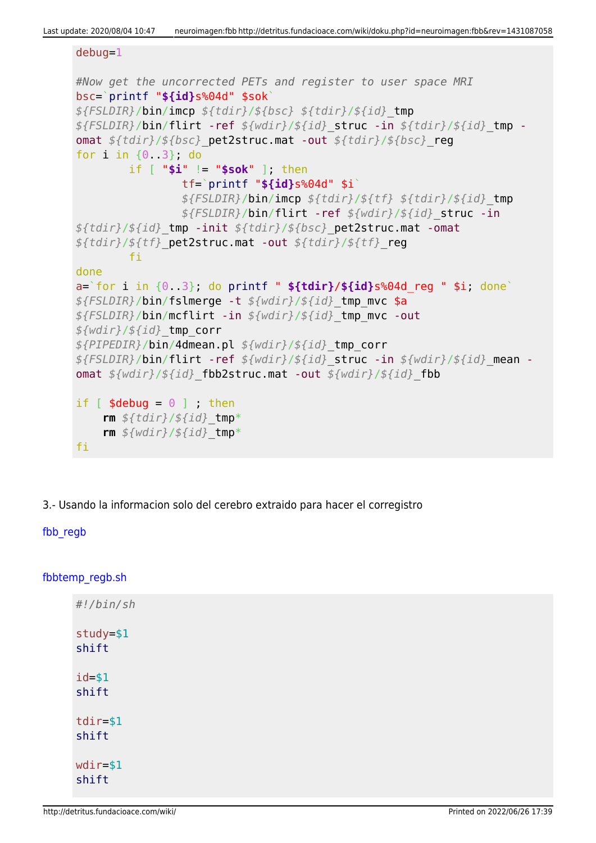Last update: 2020/08/04 10:47 neuroimagen:fbb http://detritus.fundacioace.com/wiki/doku.php?id=neuroimagen:fbb&rev=1431087058

```
debug=1
#Now get the uncorrected PETs and register to user space MRI
bsc=`printf "${id}s%04d" $sok`
${FSLDIR}/bin/imcp ${tdir}/${bsc} ${tdir}/${id}_tmp
${FSLDIR}/bin/flirt -ref ${wdir}/${id}_struc -in ${tdir}/${id}_tmp -
omat ${tdir}/${bsc}_pet2struc.mat -out ${tdir}/${bsc}_reg
for i in {0..3}; do
         if [ "$i" != "$sok" ]; then
                 tf=`printf "${id}s%04d" $i`
                 ${FSLDIR}/bin/imcp ${tdir}/${tf} ${tdir}/${id}_tmp
                 ${FSLDIR}/bin/flirt -ref ${wdir}/${id}_struc -in
${tdir}/${id}_tmp -init ${tdir}/${bsc}_pet2struc.mat -omat
${tdir}/${tf}_pet2struc.mat -out ${tdir}/${tf}_reg
         fi
done
a=`for i in {0..3}; do printf " ${tdir}/${id}s%04d_reg " $i; done`
${FSLDIR}/bin/fslmerge -t ${wdir}/${id}_tmp_mvc $a
${FSLDIR}/bin/mcflirt -in ${wdir}/${id}_tmp_mvc -out
${wdir}/${id}_tmp_corr
${PIPEDIR}/bin/4dmean.pl ${wdir}/${id}_tmp_corr
${FSLDIR}/bin/flirt -ref ${wdir}/${id}_struc -in ${wdir}/${id}_mean -
omat ${wdir}/${id}_fbb2struc.mat -out ${wdir}/${id}_fbb
if [ $debug = 0 ] ; then
     rm ${tdir}/${id}_tmp*
     rm ${wdir}/${id}_tmp*
fi
```
3.- Usando la informacion solo del cerebro extraido para hacer el corregistro

fbb regb

[fbbtemp\\_regb.sh](http://detritus.fundacioace.com/wiki/doku.php?do=export_code&id=neuroimagen:fbb&codeblock=5)

| #!/bin/sh             |
|-----------------------|
| $study = $1$<br>shift |
| $id = $1$<br>shift    |
| $tdir = $1$<br>shift  |
| $wdir = $1$<br>shift  |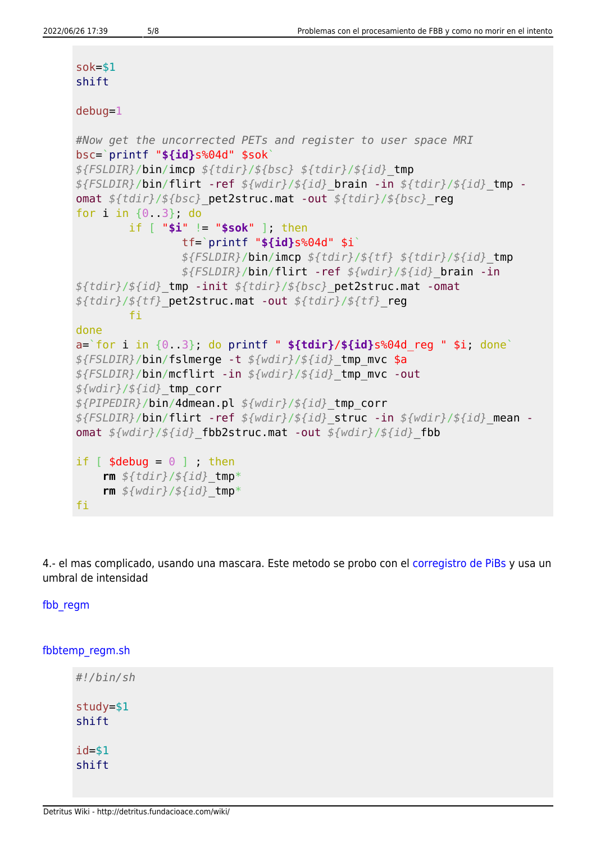| $s$ ok=\$1<br>shift                                                                                                                                                                                                                                                                                                                                                                                                                          |  |
|----------------------------------------------------------------------------------------------------------------------------------------------------------------------------------------------------------------------------------------------------------------------------------------------------------------------------------------------------------------------------------------------------------------------------------------------|--|
| $debug=1$                                                                                                                                                                                                                                                                                                                                                                                                                                    |  |
| #Now get the uncorrected PETs and register to user space MRI<br>bsc=`printf " $$id}s$ %04d" $$s$ kok`<br>\${FSLDIR}/bin/imcp \${tdir}/\${bsc} \${tdir}/\${id} tmp<br>\${FSLDIR}/bin/flirt -ref \${wdir}/\${id} brain -in \${tdir}/\${id} tmp -<br>omat \${tdir}/\${bsc} pet2struc.mat -out \${tdir}/\${bsc} reg<br>for $i$ in $\{0, 3\}$ , do                                                                                                |  |
| if $[$ "\$i" $]=$ "\$sok" ], then<br>$tf='print f "${id}$ s%04d" \$i<br>$${FSLDIR}/bin/inncp ${tdir}/${tf} $${tdir}/${tdir}/${idr}$<br>\${FSLDIR}/bin/flirt -ref \${wdir}/\${id} brain -in<br>\${tdir}/\${id} tmp -init \${tdir}/\${bsc} pet2struc.mat -omat<br>$$ {tdir} / ${tf}$ pet2struc.mat -out $$ {tdir} / ${tf}$ reg                                                                                                                 |  |
| fi<br>done<br>$a = 'for i in {0.3}$ , do printf " ${fdir}/${id}s$ %04d reg " \$i, done<br>\${FSLDIR}/bin/fslmerge -t \${wdir}/\${id} tmp mvc \$a<br>\${FSLDIR}/bin/mcflirt -in \${wdir}/\${id} tmp mvc -out<br>$$$ {wdir}/\${id} tmp corr<br>\${PIPEDIR}/bin/4dmean.pl \${wdir}/\${id} tmp corr<br>\${FSLDIR}/bin/flirt -ref \${wdir}/\${id} struc -in \${wdir}/\${id} mean -<br>omat \${wdir}/\${id}_fbb2struc.mat -out \${wdir}/\${id} fbb |  |
| if $[$ \$debug = $0$ ] ; then<br>rm $$ftdir}/fid$ tmp*<br>rm $$$ {wdir}/ $$$ {id} tmp*<br>fi                                                                                                                                                                                                                                                                                                                                                 |  |

4.- el mas complicado, usando una mascara. Este metodo se probo con el [corregistro de PiBs](http://detritus.fundacioace.com/wiki/doku.php?id=neuroimagen:pib_troubles) y usa un umbral de intensidad

[fbb\\_regm](#page--1-0)

[fbbtemp\\_regm.sh](http://detritus.fundacioace.com/wiki/doku.php?do=export_code&id=neuroimagen:fbb&codeblock=6)

*#!/bin/sh* study=\$1 shift id=\$1 shift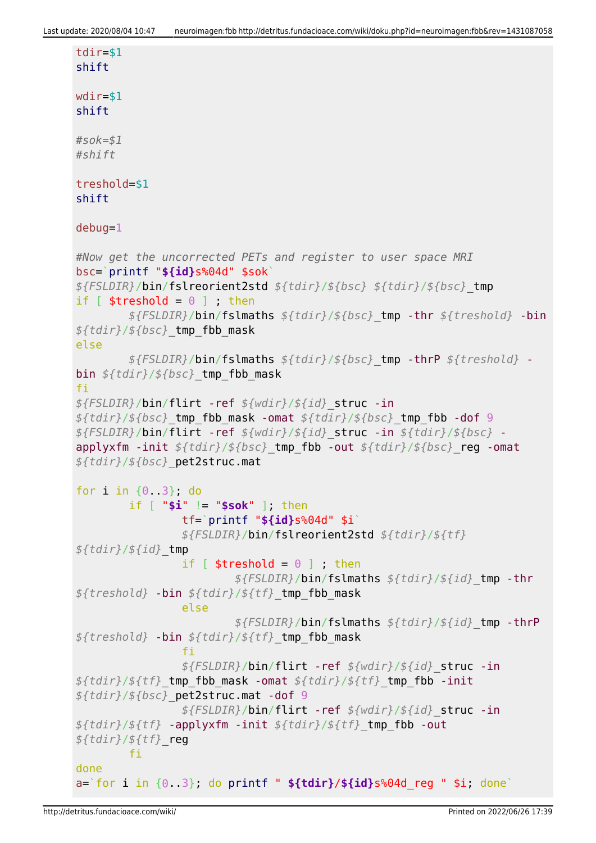```
tdir=$1
shift
wdir=$1
shift
#sok=$1
#shift
treshold=$1
shift
debug=1
#Now get the uncorrected PETs and register to user space MRI
bsc=`printf "${id}s%04d" $sok`
${FSLDIR}/bin/fslreorient2std ${tdir}/${bsc} ${tdir}/${bsc}_tmp
if [ $treshold = 0 ] ; then
         ${FSLDIR}/bin/fslmaths ${tdir}/${bsc}_tmp -thr ${treshold} -bin
${tdir}/${bsc}_tmp_fbb_mask
else
         ${FSLDIR}/bin/fslmaths ${tdir}/${bsc}_tmp -thrP ${treshold} -
bin ${tdir}/${bsc}_tmp_fbb_mask
fi
${FSLDIR}/bin/flirt -ref ${wdir}/${id}_struc -in
${tdir}/${bsc}_tmp_fbb_mask -omat ${tdir}/${bsc}_tmp_fbb -dof 9
${FSLDIR}/bin/flirt -ref ${wdir}/${id}_struc -in ${tdir}/${bsc} -
applyxfm -init ${tdir}/${bsc}_tmp_fbb -out ${tdir}/${bsc}_reg -omat
${tdir}/${bsc}_pet2struc.mat
for i in {0..3}; do
         if [ "$i" != "$sok" ]; then
                 tf=`printf "${id}s%04d" $i`
                 ${FSLDIR}/bin/fslreorient2std ${tdir}/${tf}
${tdir}/${id}_tmp
                if \lceil $treshold = \theta \rceil ; then
                         ${FSLDIR}/bin/fslmaths ${tdir}/${id}_tmp -thr
${treshold} -bin ${tdir}/${tf}_tmp_fbb_mask
                 else
                          ${FSLDIR}/bin/fslmaths ${tdir}/${id}_tmp -thrP
${treshold} -bin ${tdir}/${tf}_tmp_fbb_mask
film and the film of the film
                 ${FSLDIR}/bin/flirt -ref ${wdir}/${id}_struc -in
${tdir}/${tf}_tmp_fbb_mask -omat ${tdir}/${tf}_tmp_fbb -init
${tdir}/${bsc}_pet2struc.mat -dof 9
                 ${FSLDIR}/bin/flirt -ref ${wdir}/${id}_struc -in
${tdir}/${tf} -applyxfm -init ${tdir}/${tf}_tmp_fbb -out
${tdir}/${tf}_reg
         fi
done
a=`for i in {0..3}; do printf " ${tdir}/${id}s%04d_reg " $i; done`
```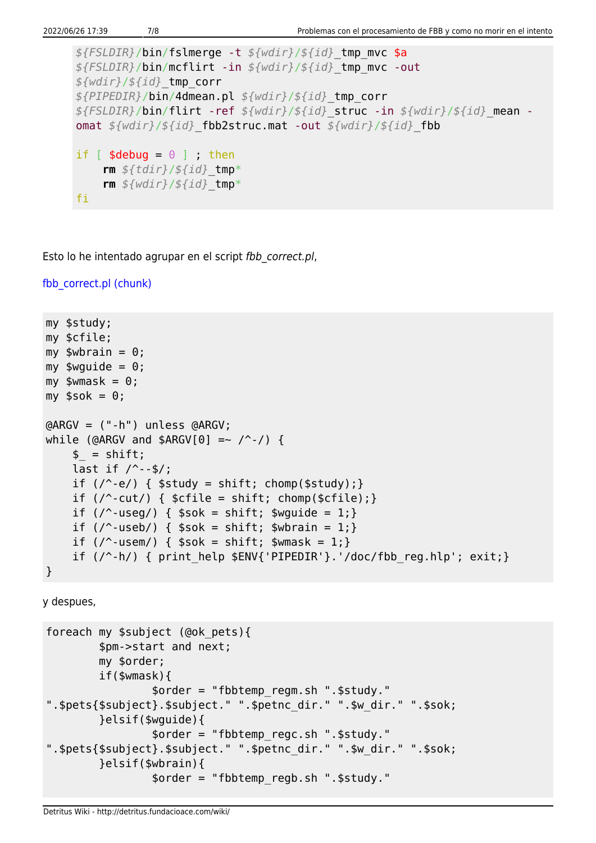```
${FSLDIR}/bin/fslmerge -t ${wdir}/${id}_tmp_mvc $a
${FSLDIR}/bin/mcflirt -in ${wdir}/${id}_tmp_mvc -out
${wdir}/${id}_tmp_corr
${PIPEDIR}/bin/4dmean.pl ${wdir}/${id}_tmp_corr
${FSLDIR}/bin/flirt -ref ${wdir}/${id}_struc -in ${wdir}/${id}_mean -
omat ${wdir}/${id}_fbb2struc.mat -out ${wdir}/${id}_fbb
if [ $debug = 0 ] ; then
     rm ${tdir}/${id}_tmp*
     rm ${wdir}/${id}_tmp*
fi
```
Esto lo he intentado agrupar en el script fbb correct.pl,

fbb correct.pl (chunk)

```
my $study;
my $cfile;
my $wbrain = 0;
my $wquide = 0;
mv $wmask = 0:
my $sok = 0;@ARGV = ("-h") unless @ARGV;
while (@ARGV and $ARGV[0] =~ /^-/) {
     $ = shift;last if / --$/;
     if (\frac{\ }{2}) { $study = shift; chomp($study);}if \left(\frac{\ }{\ }cut/\right) { $cfile = shift; chomp($cfile):}if \left(\frac{\ }{2} \right) { \frac{\ }{2} sok = shift; \frac{\ }{2} swquide = 1; }
     if \left(\frac{\ }{2} \right) { \frac{\ }{2} $sok = shift; $wbrain = 1; }
     if \left(\frac{\ }{2} \right) { \frac{\ }{2} sok = shift; \frac{\ }{2} swmask = 1; }
     if (\frac{\ }{2}) { print help $ENV{'PIPEDIR'}.'/doc/fbb reg.hlp'; exit;}
}
```
y despues,

```
foreach my $subject (@ok_pets){
         $pm->start and next;
         my $order;
         if($wmask){
                 $order = "fbbtemp_regm.sh ".$study."
".$pets{$subject}.$subject." ".$petnc_dir." ".$w_dir." ".$sok;
         }elsif($wguide){
                 $order = "fbbtemp_regc.sh ".$study."
".$pets{$subject}.$subject." ".$petnc_dir." ".$w_dir." ".$sok;
         }elsif($wbrain){
                 $order = "fbbtemp_regb.sh ".$study."
```